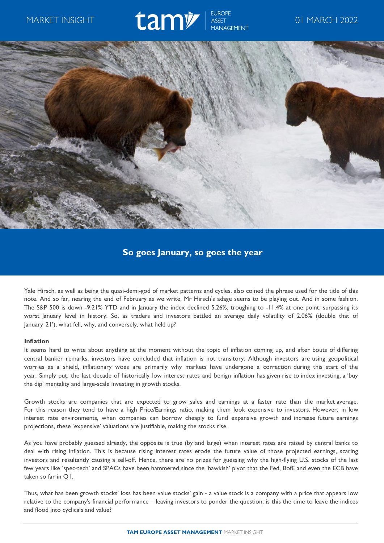# MARKET INSIGHT **CAMP!** SSET OI MARCH 2022



## **So goes January, so goes the year**

Yale Hirsch, as well as being the quasi-demi-god of market patterns and cycles, also coined the phrase used for the title of this note. And so far, nearing the end of February as we write, Mr Hirsch's adage seems to be playing out. And in some fashion. The S&P 500 is down -9.21% YTD and in January the index declined 5.26%, troughing to -11.4% at one point, surpassing its worst January level in history. So, as traders and investors battled an average daily volatility of 2.06% (double that of January 21'), what fell, why, and conversely, what held up?

## **Inflation**

It seems hard to write about anything at the moment without the topic of inflation coming up, and after bouts of differing central banker remarks, investors have concluded that inflation is not transitory. Although investors are using geopolitical worries as a shield, inflationary woes are primarily why markets have undergone a correction during this start of the year. Simply put, the last decade of historically low interest rates and benign inflation has given rise to index investing, a 'buy the dip' mentality and large-scale investing in growth stocks.

Growth stocks are companies that are expected to grow sales and earnings at a faster rate than the market average. For this reason they tend to have a high Price/Earnings ratio, making them look expensive to investors. However, in low interest rate environments, when companies can borrow cheaply to fund expansive growth and increase future earnings projections, these 'expensive' valuations are justifiable, making the stocks rise.

As you have probably guessed already, the opposite is true (by and large) when interest rates are raised by central banks to deal with rising inflation. This is because rising interest rates erode the future value of those projected earnings, scaring investors and resultantly causing a sell-off. Hence, there are no prizes for guessing why the high-flying U.S. stocks of the last few years like 'spec-tech' and SPACs have been hammered since the 'hawkish' pivot that the Fed, BofE and even the ECB have taken so far in Q1.

Thus, what has been growth stocks' loss has been value stocks' gain - a value stock is a company with a price that appears low relative to the company's financial performance – leaving investors to ponder the question, is this the time to leave the indices and flood into cyclicals and value?